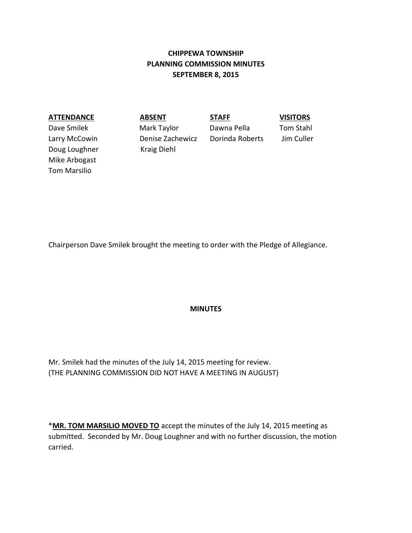# **CHIPPEWA TOWNSHIP PLANNING COMMISSION MINUTES SEPTEMBER 8, 2015**

### **ATTENDANCE ABSENT STAFF VISITORS**

Dave Smilek Mark Taylor Dawna Pella Tom Stahl Doug Loughner Kraig Diehl Mike Arbogast Tom Marsilio

Larry McCowin Denise Zachewicz Dorinda Roberts Jim Culler

Chairperson Dave Smilek brought the meeting to order with the Pledge of Allegiance.

### **MINUTES**

Mr. Smilek had the minutes of the July 14, 2015 meeting for review. (THE PLANNING COMMISSION DID NOT HAVE A MEETING IN AUGUST)

\***MR. TOM MARSILIO MOVED TO** accept the minutes of the July 14, 2015 meeting as submitted. Seconded by Mr. Doug Loughner and with no further discussion, the motion carried.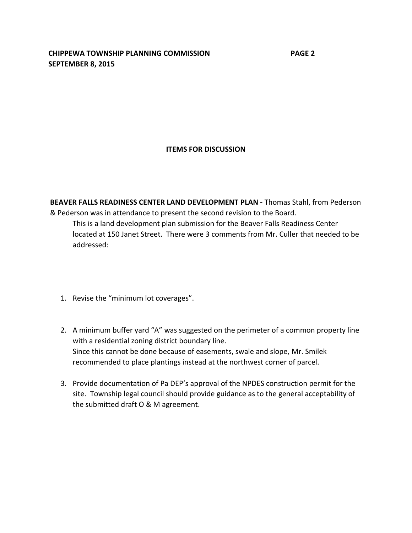**CHIPPEWA TOWNSHIP PLANNING COMMISSION PAGE 2 SEPTEMBER 8, 2015**

## **ITEMS FOR DISCUSSION**

**BEAVER FALLS READINESS CENTER LAND DEVELOPMENT PLAN -** Thomas Stahl, from Pederson & Pederson was in attendance to present the second revision to the Board. This is a land development plan submission for the Beaver Falls Readiness Center

located at 150 Janet Street. There were 3 comments from Mr. Culler that needed to be addressed:

- 1. Revise the "minimum lot coverages".
- 2. A minimum buffer yard "A" was suggested on the perimeter of a common property line with a residential zoning district boundary line. Since this cannot be done because of easements, swale and slope, Mr. Smilek recommended to place plantings instead at the northwest corner of parcel.
- 3. Provide documentation of Pa DEP's approval of the NPDES construction permit for the site. Township legal council should provide guidance as to the general acceptability of the submitted draft O & M agreement.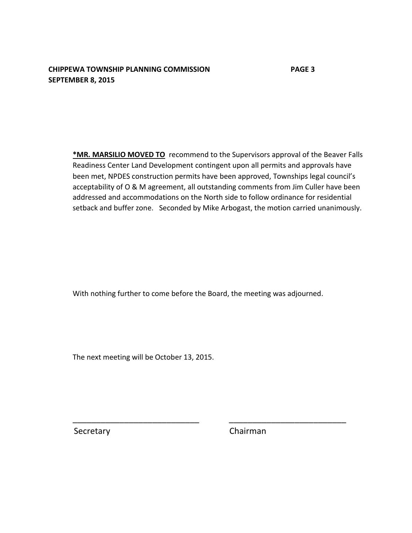## **CHIPPEWA TOWNSHIP PLANNING COMMISSION PAGE 3 SEPTEMBER 8, 2015**

**\*MR. MARSILIO MOVED TO** recommend to the Supervisors approval of the Beaver Falls Readiness Center Land Development contingent upon all permits and approvals have been met, NPDES construction permits have been approved, Townships legal council's acceptability of O & M agreement, all outstanding comments from Jim Culler have been addressed and accommodations on the North side to follow ordinance for residential setback and buffer zone. Seconded by Mike Arbogast, the motion carried unanimously.

With nothing further to come before the Board, the meeting was adjourned.

\_\_\_\_\_\_\_\_\_\_\_\_\_\_\_\_\_\_\_\_\_\_\_\_\_\_\_ \_\_\_\_\_\_\_\_\_\_\_\_\_\_\_\_\_\_\_\_\_\_\_\_\_

The next meeting will be October 13, 2015.

Secretary **Chairman**